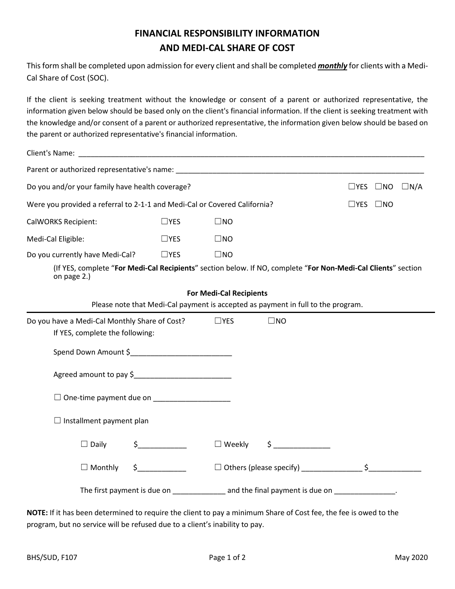## **FINANCIAL RESPONSIBILITY INFORMATION AND MEDI-CAL SHARE OF COST**

This form shall be completed upon admission for every client and shall be completed *monthly* for clients with a Medi-Cal Share of Cost (SOC).

If the client is seeking treatment without the knowledge or consent of a parent or authorized representative, the information given below should be based only on the client's financial information. If the client is seeking treatment with the knowledge and/or consent of a parent or authorized representative, the information given below should be based on the parent or authorized representative's financial information.

| Client's Name: Name and Secretary and Secretary and Secretary and Secretary and Secretary and Secretary and Secretary and Secretary and Secretary and Secretary and Secretary and Secretary and Secretary and Secretary and Se |               |               |                                                                                  |                                    |  |
|--------------------------------------------------------------------------------------------------------------------------------------------------------------------------------------------------------------------------------|---------------|---------------|----------------------------------------------------------------------------------|------------------------------------|--|
|                                                                                                                                                                                                                                |               |               |                                                                                  |                                    |  |
| Do you and/or your family have health coverage?                                                                                                                                                                                |               |               |                                                                                  | $\Box$ YES $\Box$ NO<br>$\Box N/A$ |  |
| Were you provided a referral to 2-1-1 and Medi-Cal or Covered California?                                                                                                                                                      |               |               |                                                                                  | $\Box$ YES $\Box$ NO               |  |
| <b>CalWORKS Recipient:</b>                                                                                                                                                                                                     | $\Box$ YES    | $\square$ NO  |                                                                                  |                                    |  |
| Medi-Cal Eligible:                                                                                                                                                                                                             | $\Box$ YES    | $\square$ NO  |                                                                                  |                                    |  |
| Do you currently have Medi-Cal?                                                                                                                                                                                                | $\Box$ YES    | $\square$ NO  |                                                                                  |                                    |  |
| (If YES, complete "For Medi-Cal Recipients" section below. If NO, complete "For Non-Medi-Cal Clients" section<br>on page 2.)                                                                                                   |               |               |                                                                                  |                                    |  |
| <b>For Medi-Cal Recipients</b>                                                                                                                                                                                                 |               |               |                                                                                  |                                    |  |
|                                                                                                                                                                                                                                |               |               | Please note that Medi-Cal payment is accepted as payment in full to the program. |                                    |  |
| Do you have a Medi-Cal Monthly Share of Cost?                                                                                                                                                                                  |               | $\Box$ YES    | $\square$ NO                                                                     |                                    |  |
| If YES, complete the following:                                                                                                                                                                                                |               |               |                                                                                  |                                    |  |
|                                                                                                                                                                                                                                |               |               |                                                                                  |                                    |  |
| Agreed amount to pay \$                                                                                                                                                                                                        |               |               |                                                                                  |                                    |  |
| $\Box$ One-time payment due on ____________________                                                                                                                                                                            |               |               |                                                                                  |                                    |  |
| $\Box$ Installment payment plan                                                                                                                                                                                                |               |               |                                                                                  |                                    |  |
| $\Box$ Daily                                                                                                                                                                                                                   | $\frac{1}{2}$ | $\Box$ Weekly | $\zeta$                                                                          |                                    |  |
| $\Box$ Monthly<br>\$                                                                                                                                                                                                           |               |               |                                                                                  |                                    |  |
| The first payment is due on _______________ and the final payment is due on ______________.                                                                                                                                    |               |               |                                                                                  |                                    |  |

**NOTE:** If it has been determined to require the client to pay a minimum Share of Cost fee, the fee is owed to the program, but no service will be refused due to a client's inability to pay.